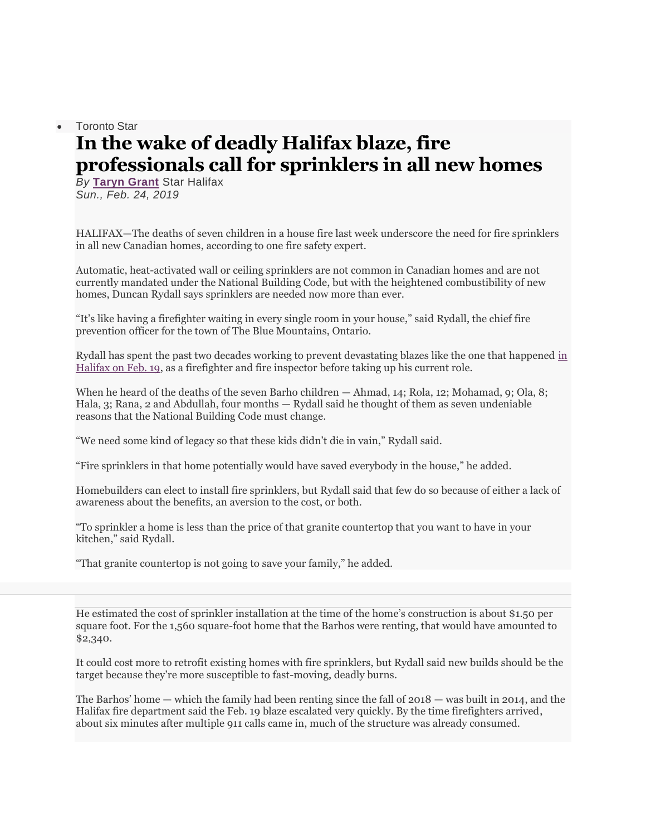## • Toronto Star **In the wake of deadly Halifax blaze, fire professionals call for sprinklers in all new homes**

*By* **[Taryn Grant](https://www.thestar.com/authors.grant_taryn.html)** Star Halifax *Sun., Feb. 24, 2019*

HALIFAX—The deaths of seven children in a house fire last week underscore the need for fire sprinklers in all new Canadian homes, according to one fire safety expert.

Automatic, heat-activated wall or ceiling sprinklers are not common in Canadian homes and are not currently mandated under the National Building Code, but with the heightened combustibility of new homes, Duncan Rydall says sprinklers are needed now more than ever.

"It's like having a firefighter waiting in every single room in your house," said Rydall, the chief fire prevention officer for the town of The Blue Mountains, Ontario.

Rydall has spent the past two decades working to prevent devastating blazes like the one that happened [in](https://www.thestar.com/halifax/2019/02/19/fatalities-reported-after-house-fire-in-halifax.html)  [Halifax on Feb. 19,](https://www.thestar.com/halifax/2019/02/19/fatalities-reported-after-house-fire-in-halifax.html) as a firefighter and fire inspector before taking up his current role.

When he heard of the deaths of the seven Barho children — Ahmad, 14; Rola, 12; Mohamad, 9; Ola, 8; Hala, 3; Rana, 2 and Abdullah, four months — Rydall said he thought of them as seven undeniable reasons that the National Building Code must change.

"We need some kind of legacy so that these kids didn't die in vain," Rydall said.

"Fire sprinklers in that home potentially would have saved everybody in the house," he added.

Homebuilders can elect to install fire sprinklers, but Rydall said that few do so because of either a lack of awareness about the benefits, an aversion to the cost, or both.

"To sprinkler a home is less than the price of that granite countertop that you want to have in your kitchen," said Rydall.

"That granite countertop is not going to save your family," he added.

He estimated the cost of sprinkler installation at the time of the home's construction is about \$1.50 per square foot. For the 1,560 square-foot home that the Barhos were renting, that would have amounted to \$2,340.

It could cost more to retrofit existing homes with fire sprinklers, but Rydall said new builds should be the target because they're more susceptible to fast-moving, deadly burns.

The Barhos' home — which the family had been renting since the fall of 2018 — was built in 2014, and the Halifax fire department said the Feb. 19 blaze escalated very quickly. By the time firefighters arrived, about six minutes after multiple 911 calls came in, much of the structure was already consumed.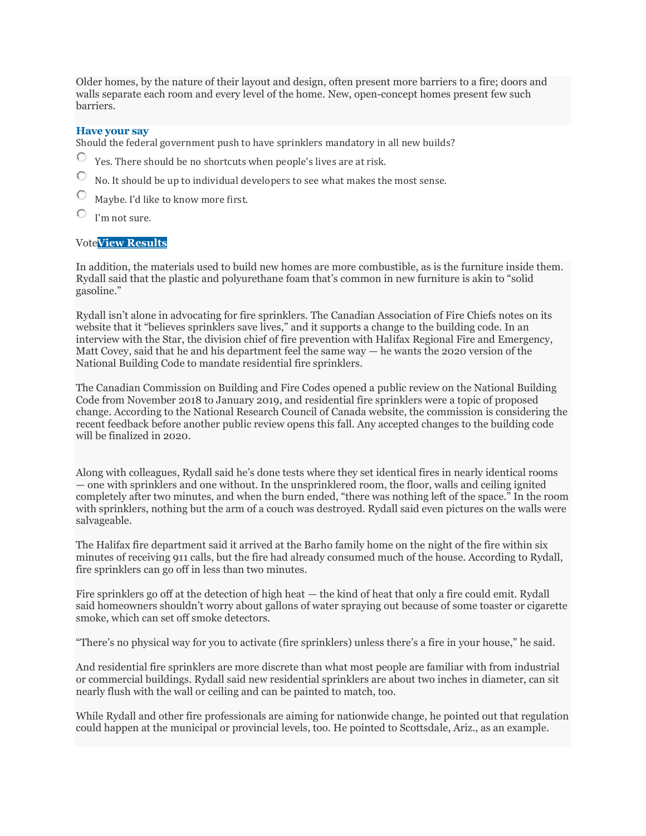Older homes, by the nature of their layout and design, often present more barriers to a fire; doors and walls separate each room and every level of the home. New, open-concept homes present few such barriers.

## **Have your say**

Should the federal government push to have sprinklers mandatory in all new builds?

- $\circ$ Yes. There should be no shortcuts when people's lives are at risk.
- $\circ$ No. It should be up to individual developers to see what makes the most sense.
- Maybe. I'd like to know more first.
- $\circ$ I'm not sure.

## Vote**View [Results](javascript:PD_vote10248766(1);)**

In addition, the materials used to build new homes are more combustible, as is the furniture inside them. Rydall said that the plastic and polyurethane foam that's common in new furniture is akin to "solid gasoline."

Rydall isn't alone in advocating for fire sprinklers. The Canadian Association of Fire Chiefs notes on its website that it "believes sprinklers save lives," and it supports a change to the building code. In an interview with the Star, the division chief of fire prevention with Halifax Regional Fire and Emergency, Matt Covey, said that he and his department feel the same way — he wants the 2020 version of the National Building Code to mandate residential fire sprinklers.

The Canadian Commission on Building and Fire Codes opened a public review on the National Building Code from November 2018 to January 2019, and residential fire sprinklers were a topic of proposed change. According to the National Research Council of Canada website, the commission is considering the recent feedback before another public review opens this fall. Any accepted changes to the building code will be finalized in 2020.

Along with colleagues, Rydall said he's done tests where they set identical fires in nearly identical rooms — one with sprinklers and one without. In the unsprinklered room, the floor, walls and ceiling ignited completely after two minutes, and when the burn ended, "there was nothing left of the space." In the room with sprinklers, nothing but the arm of a couch was destroyed. Rydall said even pictures on the walls were salvageable.

The Halifax fire department said it arrived at the Barho family home on the night of the fire within six minutes of receiving 911 calls, but the fire had already consumed much of the house. According to Rydall, fire sprinklers can go off in less than two minutes.

Fire sprinklers go off at the detection of high heat — the kind of heat that only a fire could emit. Rydall said homeowners shouldn't worry about gallons of water spraying out because of some toaster or cigarette smoke, which can set off smoke detectors.

"There's no physical way for you to activate (fire sprinklers) unless there's a fire in your house," he said.

And residential fire sprinklers are more discrete than what most people are familiar with from industrial or commercial buildings. Rydall said new residential sprinklers are about two inches in diameter, can sit nearly flush with the wall or ceiling and can be painted to match, too.

While Rydall and other fire professionals are aiming for nationwide change, he pointed out that regulation could happen at the municipal or provincial levels, too. He pointed to Scottsdale, Ariz., as an example.